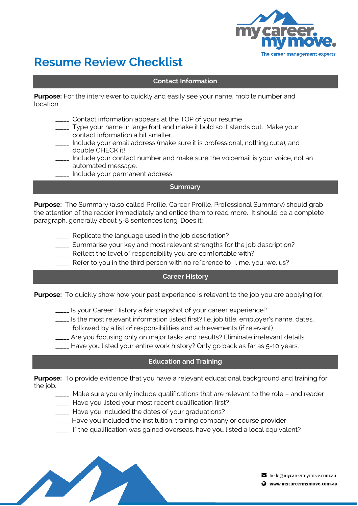

# **Resume Review Checklist**

## **Contact Information**

**Purpose:** For the interviewer to quickly and easily see your name, mobile number and location.

- \_\_\_\_\_ Contact information appears at the TOP of your resume
- \_\_\_\_\_ Type your name in large font and make it bold so it stands out. Make your contact information a bit smaller.
- \_\_\_\_\_ Include your email address (make sure it is professional, nothing cute), and double CHECK it!
- \_\_\_\_\_ Include your contact number and make sure the voicemail is your voice, not an automated message.
- Include your permanent address.

### **Summary**

**Purpose:** The Summary (also called Profile, Career Profile, Professional Summary) should grab the attention of the reader immediately and entice them to read more. It should be a complete paragraph, generally about 5-8 sentences long. Does it:

- Replicate the language used in the job description?
- \_\_\_\_\_ Summarise your key and most relevant strengths for the job description?
- \_\_\_\_\_ Reflect the level of responsibility you are comfortable with?
- \_\_\_\_\_ Refer to you in the third person with no reference to I, me, you, we, us?

#### **Career History**

**Purpose:** To quickly show how your past experience is relevant to the job you are applying for.

- \_\_\_\_\_ Is your Career History a fair snapshot of your career experience?
- \_\_\_\_\_ Is the most relevant information listed first? I.e. job title, employer's name, dates,
	- followed by a list of responsibilities and achievements (if relevant)
- \_\_\_\_\_ Are you focusing only on major tasks and results? Eliminate irrelevant details.
- Have you listed your entire work history? Only go back as far as 5-10 years.

#### **Education and Training**

**Purpose:** To provide evidence that you have a relevant educational background and training for the job.

- \_\_\_\_\_ Make sure you only include qualifications that are relevant to the role and reader
- \_\_\_\_\_ Have you listed your most recent qualification first?
- \_\_\_\_\_ Have you included the dates of your graduations?
- \_\_\_\_\_\_Have you included the institution, training company or course provider
- \_\_\_\_\_ If the qualification was gained overseas, have you listed a local equivalent?

 $\triangleright$  hello@mycareermymove.com.au

Www.mycareermymove.com.au